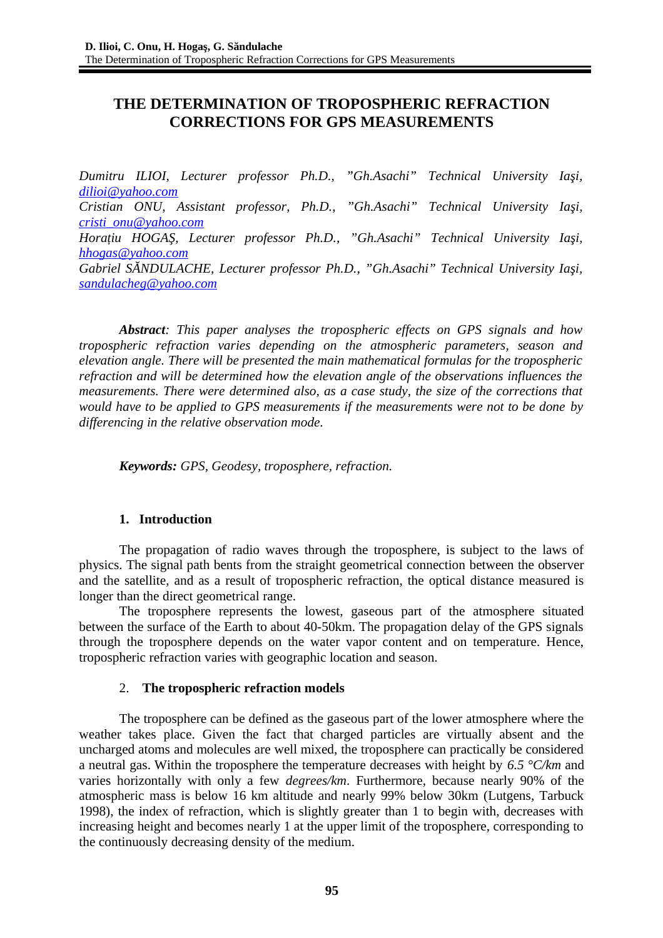# **THE DETERMINATION OF TROPOSPHERIC REFRACTION CORRECTIONS FOR GPS MEASUREMENTS**

*Dumitru ILIOI, Lecturer professor Ph.D., "Gh.Asachi" Technical University Iaşi, [dilioi@yahoo.com](mailto:dilioi@yahoo.com) Cristian ONU, Assistant professor, Ph.D., "Gh.Asachi" Technical University Iaşi, [cristi\\_onu@yahoo.com](http://mrd.mail.yahoo.com/compose?To=cristi_onu@yahoo.com) Horaţiu HOGAŞ, Lecturer professor Ph.D., "Gh.Asachi" Technical University Iaşi, [hhogas@yahoo.com](http://mrd.mail.yahoo.com/compose?To=hhogas@yahoo.com) Gabriel SĂNDULACHE, Lecturer professor Ph.D., "Gh.Asachi" Technical University Iaşi, [sandulacheg@yahoo.com](http://mrd.mail.yahoo.com/compose?To=sandulacheg@yahoo.com)*

*Abstract: This paper analyses the tropospheric effects on GPS signals and how tropospheric refraction varies depending on the atmospheric parameters, season and elevation angle. There will be presented the main mathematical formulas for the tropospheric refraction and will be determined how the elevation angle of the observations influences the measurements. There were determined also, as a case study, the size of the corrections that would have to be applied to GPS measurements if the measurements were not to be done by differencing in the relative observation mode.*

*Keywords: GPS, Geodesy, troposphere, refraction.*

# **1. Introduction**

The propagation of radio waves through the troposphere, is subject to the laws of physics. The signal path bents from the straight geometrical connection between the observer and the satellite, and as a result of tropospheric refraction, the optical distance measured is longer than the direct geometrical range.

The troposphere represents the lowest, gaseous part of the atmosphere situated between the surface of the Earth to about 40-50km. The propagation delay of the GPS signals through the troposphere depends on the water vapor content and on temperature. Hence, tropospheric refraction varies with geographic location and season.

## 2. **The tropospheric refraction models**

The troposphere can be defined as the gaseous part of the lower atmosphere where the weather takes place. Given the fact that charged particles are virtually absent and the uncharged atoms and molecules are well mixed, the troposphere can practically be considered a neutral gas. Within the troposphere the temperature decreases with height by *6.5 °C/km* and varies horizontally with only a few *degrees/km*. Furthermore, because nearly 90% of the atmospheric mass is below 16 km altitude and nearly 99% below 30km (Lutgens, Tarbuck 1998), the index of refraction, which is slightly greater than 1 to begin with, decreases with increasing height and becomes nearly 1 at the upper limit of the troposphere, corresponding to the continuously decreasing density of the medium.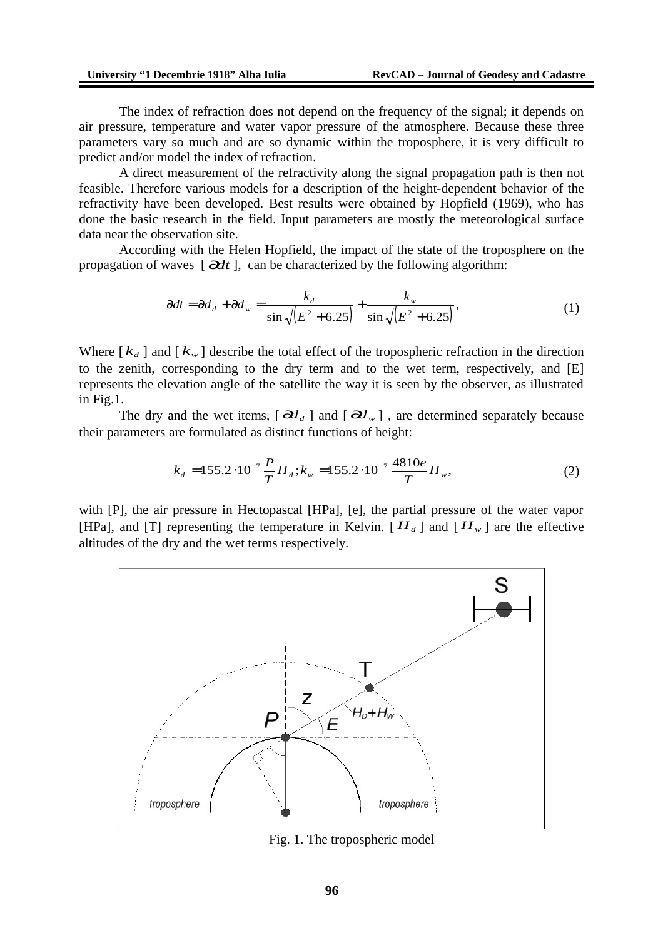The index of refraction does not depend on the frequency of the signal; it depends on air pressure, temperature and water vapor pressure of the atmosphere. Because these three parameters vary so much and are so dynamic within the troposphere, it is very difficult to predict and/or model the index of refraction.

A direct measurement of the refractivity along the signal propagation path is then not feasible. Therefore various models for a description of the height-dependent behavior of the refractivity have been developed. Best results were obtained by Hopfield (1969), who has done the basic research in the field. Input parameters are mostly the meteorological surface data near the observation site.

According with the Helen Hopfield, the impact of the state of the troposphere on the propagation of waves  $\left[\right. \frac{\partial dt}{\partial t}\right]$ , can be characterized by the following algorithm:

$$
\partial dt = \partial d_d + \partial d_w = \frac{k_d}{\sin\sqrt{(E^2 + 6.25)}} + \frac{k_w}{\sin\sqrt{(E^2 + 6.25)}},\tag{1}
$$

Where  $\begin{bmatrix} k_d \end{bmatrix}$  and  $\begin{bmatrix} k_w \end{bmatrix}$  describe the total effect of the tropospheric refraction in the direction to the zenith, corresponding to the dry term and to the wet term, respectively, and [E] represents the elevation angle of the satellite the way it is seen by the observer, as illustrated in Fig.1.

The dry and the wet items,  $\left[\partial d_d\right]$  and  $\left[\partial d_w\right]$ , are determined separately because their parameters are formulated as distinct functions of height:

$$
k_d = 155.2 \cdot 10^{-7} \frac{P}{T} H_d; k_w = 155.2 \cdot 10^{-7} \frac{4810e}{T} H_w,
$$
 (2)

with [P], the air pressure in Hectopascal [HPa], [e], the partial pressure of the water vapor [HPa], and [T] representing the temperature in Kelvin.  $[H_d]$  and  $[H_w]$  are the effective altitudes of the dry and the wet terms respectively.



Fig. 1. The tropospheric model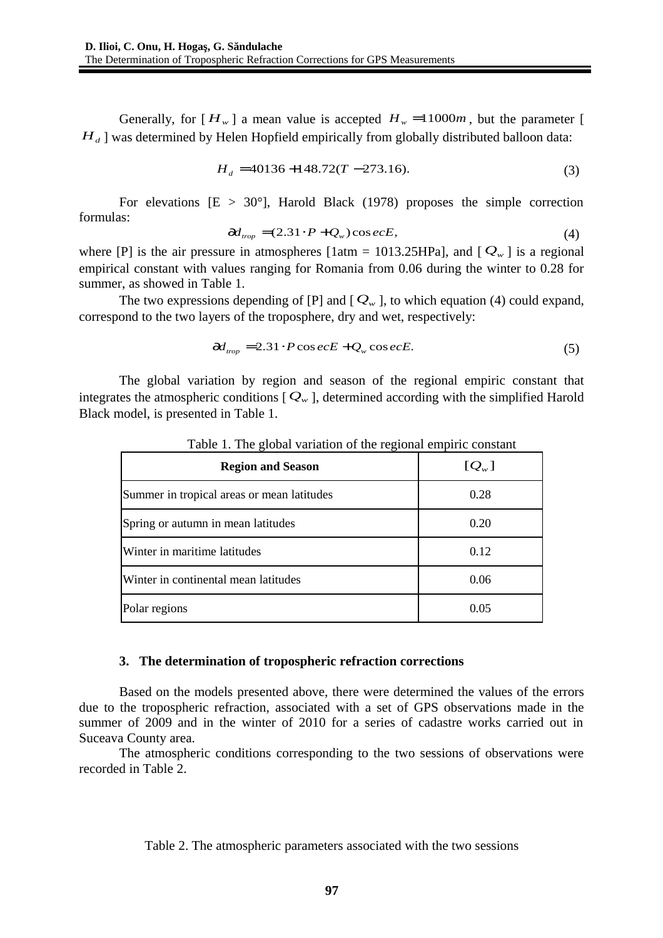Generally, for  $[H_w]$  a mean value is accepted  $H_w = 11000m$ , but the parameter [  $H_d$  ] was determined by Helen Hopfield empirically from globally distributed balloon data:

$$
H_d = 40136 + 148.72(T - 273.16). \tag{3}
$$

For elevations  $[E > 30^{\circ}]$ . Harold Black (1978) proposes the simple correction formulas:

$$
\partial d_{\text{trop}} = (2.31 \cdot P + Q_w) \cos e c E, \tag{4}
$$

where [P] is the air pressure in atmospheres [1atm = 1013.25HPa], and  $[Q_w]$  is a regional empirical constant with values ranging for Romania from 0.06 during the winter to 0.28 for summer, as showed in Table 1.

The two expressions depending of  $[P]$  and  $[Q_w]$ , to which equation (4) could expand, correspond to the two layers of the troposphere, dry and wet, respectively:

$$
\partial d_{\text{trop}} = 2.31 \cdot P \cos e c E + Q_w \cos e c E. \tag{5}
$$

The global variation by region and season of the regional empiric constant that integrates the atmospheric conditions  $[Q_w]$ , determined according with the simplified Harold Black model, is presented in Table 1.

| <b>Region and Season</b>                   | $[Q_{w}]$ |  |  |
|--------------------------------------------|-----------|--|--|
| Summer in tropical areas or mean latitudes | 0.28      |  |  |
| Spring or autumn in mean latitudes         | 0.20      |  |  |
| Winter in maritime latitudes               | 0.12      |  |  |
| Winter in continental mean latitudes       | 0.06      |  |  |
| Polar regions                              | 0.05      |  |  |

Table 1. The global variation of the regional empiric constant

#### **3. The determination of tropospheric refraction corrections**

Based on the models presented above, there were determined the values of the errors due to the tropospheric refraction, associated with a set of GPS observations made in the summer of 2009 and in the winter of 2010 for a series of cadastre works carried out in Suceava County area.

The atmospheric conditions corresponding to the two sessions of observations were recorded in Table 2.

Table 2. The atmospheric parameters associated with the two sessions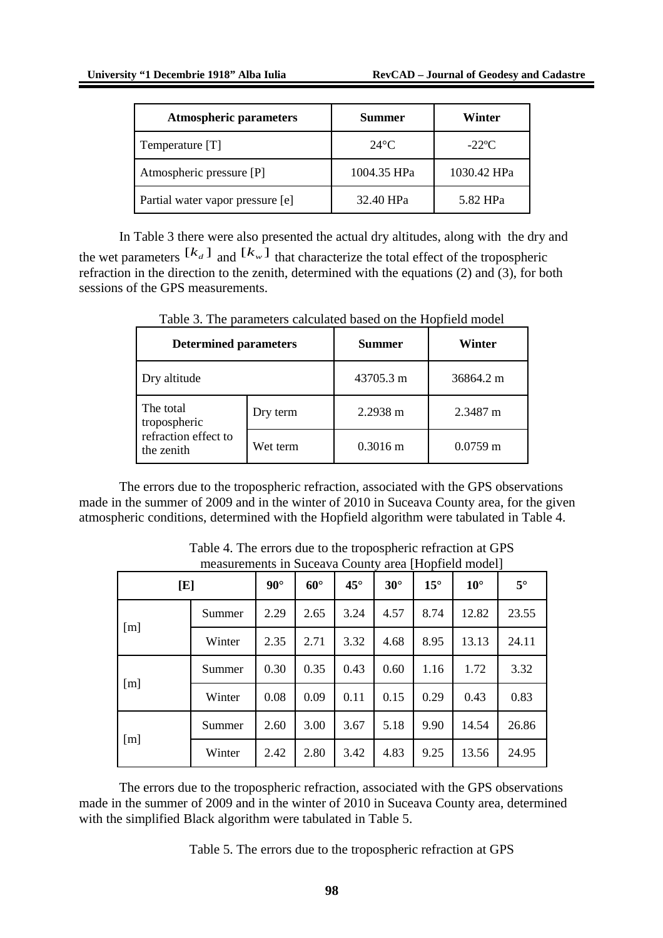| <b>Atmospheric parameters</b>    | Summer         | Winter      |  |
|----------------------------------|----------------|-------------|--|
| Temperature [T]                  | $24^{\circ}$ C | $-22$ °C    |  |
| Atmospheric pressure [P]         | 1004.35 HPa    | 1030.42 HPa |  |
| Partial water vapor pressure [e] | 32.40 HPa      | 5.82 HPa    |  |

In Table 3 there were also presented the actual dry altitudes, along with the dry and the wet parameters  $[ k_d ]$  and  $[ k_w ]$  that characterize the total effect of the tropospheric refraction in the direction to the zenith, determined with the equations (2) and (3), for both sessions of the GPS measurements.

| <b>Determined parameters</b>                                    |          | Summer             | Winter     |  |
|-----------------------------------------------------------------|----------|--------------------|------------|--|
| Dry altitude                                                    |          | 43705.3 m          | 36864.2 m  |  |
| The total<br>tropospheric<br>refraction effect to<br>the zenith | Dry term | 2.2938 m           | 2.3487 m   |  |
|                                                                 | Wet term | $0.3016 \text{ m}$ | $0.0759$ m |  |

Table 3. The parameters calculated based on the Hopfield model

The errors due to the tropospheric refraction, associated with the GPS observations made in the summer of 2009 and in the winter of 2010 in Suceava County area, for the given atmospheric conditions, determined with the Hopfield algorithm were tabulated in Table 4.

|     |        |            | Theasurements in Suceava County area Friopheid modell |              |            |            |              |           |
|-----|--------|------------|-------------------------------------------------------|--------------|------------|------------|--------------|-----------|
| [E] |        | $90^\circ$ | $60^{\circ}$                                          | $45^{\circ}$ | $30^\circ$ | $15^\circ$ | $10^{\circ}$ | $5^\circ$ |
| [m] | Summer | 2.29       | 2.65                                                  | 3.24         | 4.57       | 8.74       | 12.82        | 23.55     |
|     | Winter | 2.35       | 2.71                                                  | 3.32         | 4.68       | 8.95       | 13.13        | 24.11     |
| [m] | Summer | 0.30       | 0.35                                                  | 0.43         | 0.60       | 1.16       | 1.72         | 3.32      |
|     | Winter | 0.08       | 0.09                                                  | 0.11         | 0.15       | 0.29       | 0.43         | 0.83      |
| [m] | Summer | 2.60       | 3.00                                                  | 3.67         | 5.18       | 9.90       | 14.54        | 26.86     |
|     | Winter | 2.42       | 2.80                                                  | 3.42         | 4.83       | 9.25       | 13.56        | 24.95     |

Table 4. The errors due to the tropospheric refraction at GPS measurements in Suceava County area [Hopfield model]

The errors due to the tropospheric refraction, associated with the GPS observations made in the summer of 2009 and in the winter of 2010 in Suceava County area, determined with the simplified Black algorithm were tabulated in Table 5.

Table 5. The errors due to the tropospheric refraction at GPS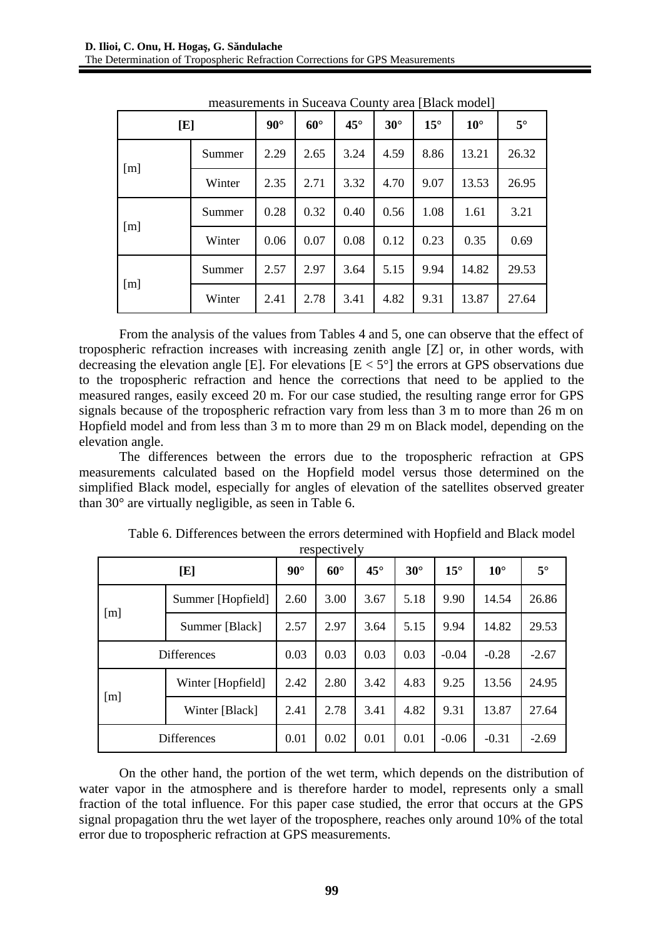| [E] |        | $90^\circ$ | $60^\circ$ | $45^\circ$ | $30^\circ$ | $15^\circ$ | $10^{\circ}$ | $5^\circ$ |
|-----|--------|------------|------------|------------|------------|------------|--------------|-----------|
| [m] | Summer | 2.29       | 2.65       | 3.24       | 4.59       | 8.86       | 13.21        | 26.32     |
|     | Winter | 2.35       | 2.71       | 3.32       | 4.70       | 9.07       | 13.53        | 26.95     |
| [m] | Summer | 0.28       | 0.32       | 0.40       | 0.56       | 1.08       | 1.61         | 3.21      |
|     | Winter | 0.06       | 0.07       | 0.08       | 0.12       | 0.23       | 0.35         | 0.69      |
| [m] | Summer | 2.57       | 2.97       | 3.64       | 5.15       | 9.94       | 14.82        | 29.53     |
|     | Winter | 2.41       | 2.78       | 3.41       | 4.82       | 9.31       | 13.87        | 27.64     |

measurements in Suceava County area [Black model]

From the analysis of the values from Tables 4 and 5, one can observe that the effect of tropospheric refraction increases with increasing zenith angle [Z] or, in other words, with decreasing the elevation angle [E]. For elevations  $[E < 5^{\circ}]$  the errors at GPS observations due to the tropospheric refraction and hence the corrections that need to be applied to the measured ranges, easily exceed 20 m. For our case studied, the resulting range error for GPS signals because of the tropospheric refraction vary from less than 3 m to more than 26 m on Hopfield model and from less than 3 m to more than 29 m on Black model, depending on the elevation angle.

The differences between the errors due to the tropospheric refraction at GPS measurements calculated based on the Hopfield model versus those determined on the simplified Black model, especially for angles of elevation of the satellites observed greater than 30° are virtually negligible, as seen in Table 6.

| [E]                |                   | $90^{\circ}$ | $60^\circ$ | $45^\circ$ | $30^\circ$ | $15^\circ$ | $10^{\circ}$ | $5^\circ$ |
|--------------------|-------------------|--------------|------------|------------|------------|------------|--------------|-----------|
| $\lceil m \rceil$  | Summer [Hopfield] | 2.60         | 3.00       | 3.67       | 5.18       | 9.90       | 14.54        | 26.86     |
|                    | Summer [Black]    | 2.57         | 2.97       | 3.64       | 5.15       | 9.94       | 14.82        | 29.53     |
| <b>Differences</b> |                   | 0.03         | 0.03       | 0.03       | 0.03       | $-0.04$    | $-0.28$      | $-2.67$   |
| [m]                | Winter [Hopfield] | 2.42         | 2.80       | 3.42       | 4.83       | 9.25       | 13.56        | 24.95     |
|                    | Winter [Black]    | 2.41         | 2.78       | 3.41       | 4.82       | 9.31       | 13.87        | 27.64     |
| <b>Differences</b> |                   | 0.01         | 0.02       | 0.01       | 0.01       | $-0.06$    | $-0.31$      | $-2.69$   |

Table 6. Differences between the errors determined with Hopfield and Black model respectively

On the other hand, the portion of the wet term, which depends on the distribution of water vapor in the atmosphere and is therefore harder to model, represents only a small fraction of the total influence. For this paper case studied, the error that occurs at the GPS signal propagation thru the wet layer of the troposphere, reaches only around 10% of the total error due to tropospheric refraction at GPS measurements.